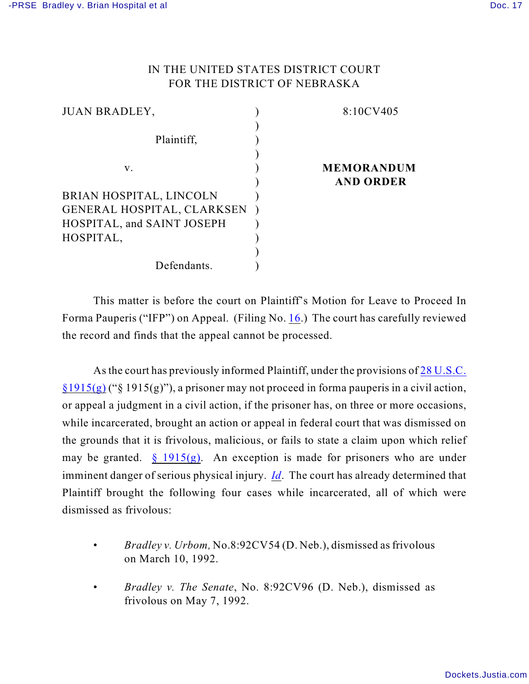## IN THE UNITED STATES DISTRICT COURT FOR THE DISTRICT OF NEBRASKA

| <b>JUAN BRADLEY,</b>              | 8:10CV405         |
|-----------------------------------|-------------------|
|                                   |                   |
| Plaintiff,                        |                   |
|                                   |                   |
| V.                                | <b>MEMORANDUM</b> |
|                                   | <b>AND ORDER</b>  |
| BRIAN HOSPITAL, LINCOLN           |                   |
| <b>GENERAL HOSPITAL, CLARKSEN</b> |                   |
| HOSPITAL, and SAINT JOSEPH        |                   |
| HOSPITAL,                         |                   |
|                                   |                   |
| Defendants.                       |                   |

This matter is before the court on Plaintiff's Motion for Leave to Proceed In Forma Pauperis ("IFP") on Appeal. (Filing No. [16](https://ecf.ned.uscourts.gov/doc1/11312185617).) The court has carefully reviewed the record and finds that the appeal cannot be processed.

As the court has previously informed Plaintiff, under the provisions of [28 U.S.C.](http://web2.westlaw.com/find/default.wl?tf=-1&rs=WLW9.01&ifm=NotSet&fn=_top&sv=Split&tc=-1&docname=28USCAS1915&ordoc=170AK2734&findtype=L&db=1000546&vr=2.0&rp=%2ffind%2fdefault.wl&mt=Westlaw&RLT=CLID_FQRLT5684254111122&TF=756&TC=1&n=1)  $\S1915(g)$  (" $\S1915(g)$ "), a prisoner may not proceed in forma pauperis in a civil action, or appeal a judgment in a civil action, if the prisoner has, on three or more occasions, while incarcerated, brought an action or appeal in federal court that was dismissed on the grounds that it is frivolous, malicious, or fails to state a claim upon which relief may be granted.  $\S 1915(g)$ . An exception is made for prisoners who are under imminent danger of serious physical injury. *[Id](http://web2.westlaw.com/find/default.wl?tf=-1&rs=WLW9.01&ifm=NotSet&fn=_top&sv=Split&tc=-1&docname=28USCAS1915&ordoc=170AK2734&findtype=L&db=1000546&vr=2.0&rp=%2ffind%2fdefault.wl&mt=Westlaw&RLT=CLID_FQRLT5684254111122&TF=756&TC=1&n=1)*. The court has already determined that Plaintiff brought the following four cases while incarcerated, all of which were dismissed as frivolous:

- *Bradley v. Urbom,* No.8:92CV54 (D. Neb.), dismissed as frivolous on March 10, 1992.
- *Bradley v. The Senate*, No. 8:92CV96 (D. Neb.), dismissed as frivolous on May 7, 1992.